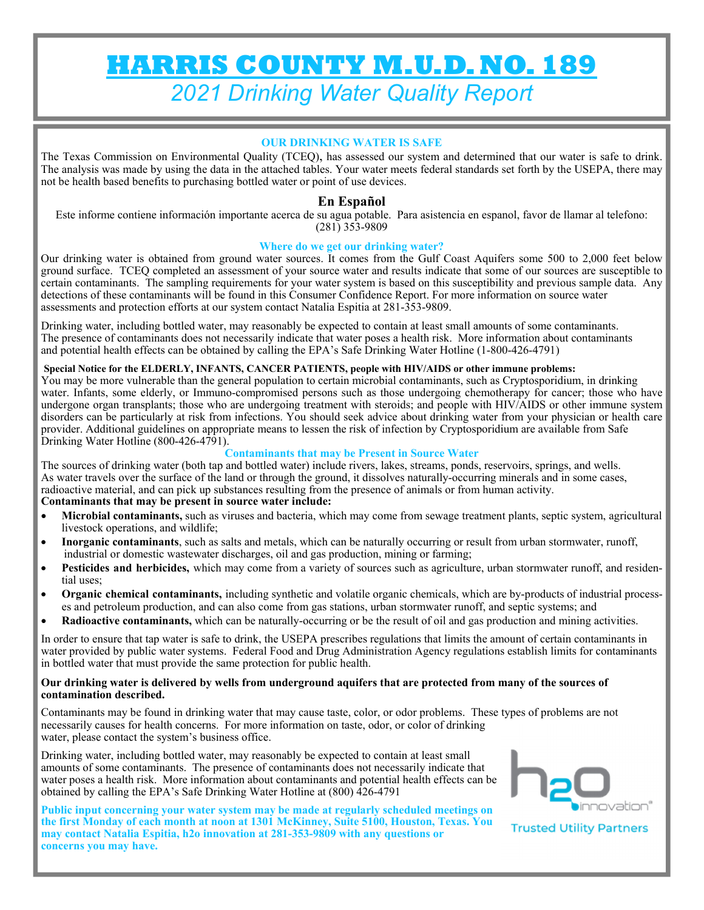# **HARRIS COUNTY M.U.D. NO. 189**  *2021 Drinking Water Quality Report*

## **OUR DRINKING WATER IS SAFE**

The Texas Commission on Environmental Quality (TCEQ), has assessed our system and determined that our water is safe to drink. The analysis was made by using the data in the attached tables. Your water meets federal standards set forth by the USEPA, there may not be health based benefits to purchasing bottled water or point of use devices.

# **En Español**

Este informe contiene información importante acerca de su agua potable. Para asistencia en espanol, favor de llamar al telefono: (281) 353-9809

#### **Where do we get our drinking water?**

Our drinking water is obtained from ground water sources. It comes from the Gulf Coast Aquifers some 500 to 2,000 feet below ground surface. TCEQ completed an assessment of your source water and results indicate that some of our sources are susceptible to certain contaminants. The sampling requirements for your water system is based on this susceptibility and previous sample data. Any detections of these contaminants will be found in this Consumer Confidence Report. For more information on source water assessments and protection efforts at our system contact Natalia Espitia at 281-353-9809.

Drinking water, including bottled water, may reasonably be expected to contain at least small amounts of some contaminants. The presence of contaminants does not necessarily indicate that water poses a health risk. More information about contaminants and potential health effects can be obtained by calling the EPA's Safe Drinking Water Hotline (1-800-426-4791)

#### **Special Notice for the ELDERLY, INFANTS, CANCER PATIENTS, people with HIV/AIDS or other immune problems:**

You may be more vulnerable than the general population to certain microbial contaminants, such as Cryptosporidium, in drinking water. Infants, some elderly, or Immuno-compromised persons such as those undergoing chemotherapy for cancer; those who have undergone organ transplants; those who are undergoing treatment with steroids; and people with HIV/AIDS or other immune system disorders can be particularly at risk from infections. You should seek advice about drinking water from your physician or health care provider. Additional guidelines on appropriate means to lessen the risk of infection by Cryptosporidium are available from Safe Drinking Water Hotline (800-426-4791).

#### **Contaminants that may be Present in Source Water**

The sources of drinking water (both tap and bottled water) include rivers, lakes, streams, ponds, reservoirs, springs, and wells. As water travels over the surface of the land or through the ground, it dissolves naturally-occurring minerals and in some cases, radioactive material, and can pick up substances resulting from the presence of animals or from human activity. **Contaminants that may be present in source water include:** 

- **Microbial contaminants,** such as viruses and bacteria, which may come from sewage treatment plants, septic system, agricultural livestock operations, and wildlife;
- **Inorganic contaminants**, such as salts and metals, which can be naturally occurring or result from urban stormwater, runoff, industrial or domestic wastewater discharges, oil and gas production, mining or farming;
- **Pesticides and herbicides,** which may come from a variety of sources such as agriculture, urban stormwater runoff, and residential uses;
- **Organic chemical contaminants,** including synthetic and volatile organic chemicals, which are by-products of industrial processes and petroleum production, and can also come from gas stations, urban stormwater runoff, and septic systems; and
- **Radioactive contaminants,** which can be naturally-occurring or be the result of oil and gas production and mining activities.

In order to ensure that tap water is safe to drink, the USEPA prescribes regulations that limits the amount of certain contaminants in water provided by public water systems. Federal Food and Drug Administration Agency regulations establish limits for contaminants in bottled water that must provide the same protection for public health.

#### **Our drinking water is delivered by wells from underground aquifers that are protected from many of the sources of contamination described.**

Contaminants may be found in drinking water that may cause taste, color, or odor problems. These types of problems are not necessarily causes for health concerns. For more information on taste, odor, or color of drinking water, please contact the system's business office.

Drinking water, including bottled water, may reasonably be expected to contain at least small amounts of some contaminants. The presence of contaminants does not necessarily indicate that water poses a health risk. More information about contaminants and potential health effects can be obtained by calling the EPA's Safe Drinking Water Hotline at (800) 426-4791

**Public input concerning your water system may be made at regularly scheduled meetings on the first Monday of each month at noon at 1301 McKinney, Suite 5100, Houston, Texas. You may contact Natalia Espitia, h2o innovation at 281-353-9809 with any questions or concerns you may have.**



**Trusted Utility Partners**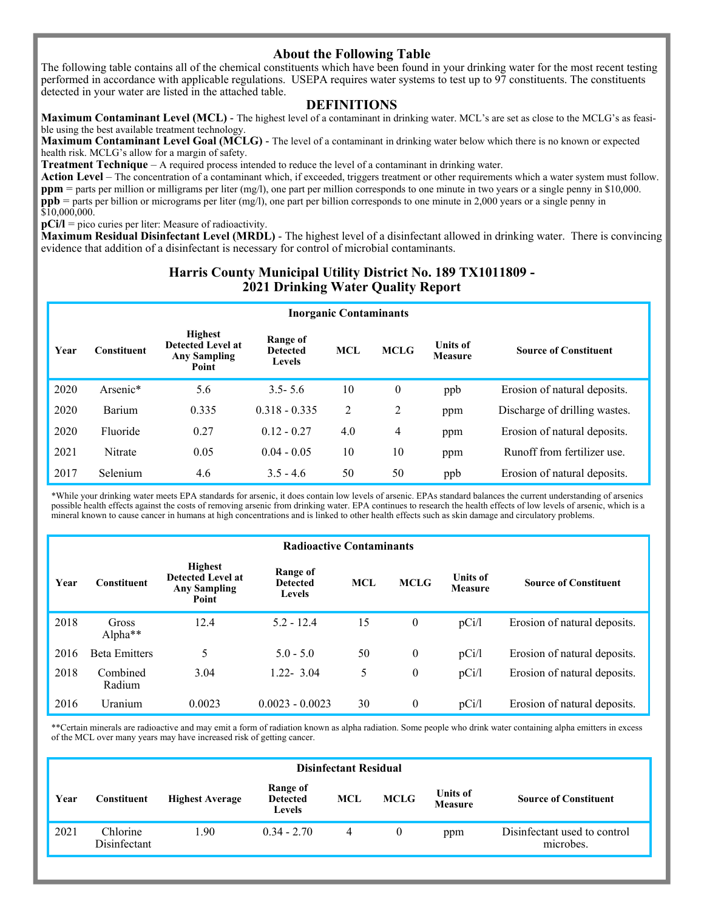# **About the Following Table**

The following table contains all of the chemical constituents which have been found in your drinking water for the most recent testing performed in accordance with applicable regulations. USEPA requires water systems to test up to 97 constituents. The constituents detected in your water are listed in the attached table.

### **DEFINITIONS**

**Maximum Contaminant Level (MCL)** - The highest level of a contaminant in drinking water. MCL's are set as close to the MCLG's as feasible using the best available treatment technology.

**Maximum Contaminant Level Goal (MCLG)** - The level of a contaminant in drinking water below which there is no known or expected health risk. MCLG's allow for a margin of safety.

**Treatment Technique** – A required process intended to reduce the level of a contaminant in drinking water.

**Action Level** – The concentration of a contaminant which, if exceeded, triggers treatment or other requirements which a water system must follow. **ppm** = parts per million or milligrams per liter (mg/l), one part per million corresponds to one minute in two years or a single penny in \$10,000. **ppb** = parts per billion or micrograms per liter (mg/l), one part per billion corresponds to one minute in 2,000 years or a single penny in \$10,000,000.

**pCi/l** = pico curies per liter: Measure of radioactivity.

**Maximum Residual Disinfectant Level (MRDL)** - The highest level of a disinfectant allowed in drinking water. There is convincing evidence that addition of a disinfectant is necessary for control of microbial contaminants.

# **Harris County Municipal Utility District No. 189 TX1011809 - 2021 Drinking Water Quality Report**

| <b>Inorganic Contaminants</b> |             |                                                                            |                                              |            |             |                                   |                               |  |
|-------------------------------|-------------|----------------------------------------------------------------------------|----------------------------------------------|------------|-------------|-----------------------------------|-------------------------------|--|
| Year                          | Constituent | <b>Highest</b><br><b>Detected Level at</b><br><b>Any Sampling</b><br>Point | Range of<br><b>Detected</b><br><b>Levels</b> | <b>MCL</b> | <b>MCLG</b> | <b>Units of</b><br><b>Measure</b> | <b>Source of Constituent</b>  |  |
| 2020                          | Arsenic*    | 5.6                                                                        | $3.5 - 5.6$                                  | 10         | $\theta$    | ppb                               | Erosion of natural deposits.  |  |
| 2020                          | Barium      | 0.335                                                                      | $0.318 - 0.335$                              | 2          | 2           | ppm                               | Discharge of drilling wastes. |  |
| 2020                          | Fluoride    | 0.27                                                                       | $0.12 - 0.27$                                | 4.0        | 4           | ppm                               | Erosion of natural deposits.  |  |
| 2021                          | Nitrate     | 0.05                                                                       | $0.04 - 0.05$                                | 10         | 10          | ppm                               | Runoff from fertilizer use.   |  |
| 2017                          | Selenium    | 4.6                                                                        | $3.5 - 4.6$                                  | 50         | 50          | ppb                               | Erosion of natural deposits.  |  |

\*While your drinking water meets EPA standards for arsenic, it does contain low levels of arsenic. EPAs standard balances the current understanding of arsenics possible health effects against the costs of removing arsenic from drinking water. EPA continues to research the health effects of low levels of arsenic, which is a mineral known to cause cancer in humans at high concentrations and is linked to other health effects such as skin damage and circulatory problems.

| <b>Radioactive Contaminants</b> |                      |                                                                            |                                       |            |                |                                   |                              |  |  |
|---------------------------------|----------------------|----------------------------------------------------------------------------|---------------------------------------|------------|----------------|-----------------------------------|------------------------------|--|--|
| Year                            | Constituent          | <b>Highest</b><br><b>Detected Level at</b><br><b>Any Sampling</b><br>Point | Range of<br><b>Detected</b><br>Levels | <b>MCL</b> | <b>MCLG</b>    | <b>Units of</b><br><b>Measure</b> | <b>Source of Constituent</b> |  |  |
| 2018                            | Gross<br>Alpha**     | 12.4                                                                       | $5.2 - 12.4$                          | 15         | $\mathbf{0}$   | pCi/l                             | Erosion of natural deposits. |  |  |
| 2016                            | <b>Beta Emitters</b> | 5                                                                          | $5.0 - 5.0$                           | 50         | $\theta$       | pCi/l                             | Erosion of natural deposits. |  |  |
| 2018                            | Combined<br>Radium   | 3.04                                                                       | $1.22 - 3.04$                         | 5          | $\theta$       | pCi/l                             | Erosion of natural deposits. |  |  |
| 2016                            | Uranium              | 0.0023                                                                     | $0.0023 - 0.0023$                     | 30         | $\overline{0}$ | pCi/l                             | Erosion of natural deposits. |  |  |

\*\*Certain minerals are radioactive and may emit a form of radiation known as alpha radiation. Some people who drink water containing alpha emitters in excess of the MCL over many years may have increased risk of getting cancer.

| <b>Disinfectant Residual</b> |                          |                        |                                              |     |             |                                   |                                           |  |
|------------------------------|--------------------------|------------------------|----------------------------------------------|-----|-------------|-----------------------------------|-------------------------------------------|--|
| Year                         | Constituent              | <b>Highest Average</b> | Range of<br><b>Detected</b><br><b>Levels</b> | MCL | <b>MCLG</b> | <b>Units of</b><br><b>Measure</b> | <b>Source of Constituent</b>              |  |
| 2021                         | Chlorine<br>Disinfectant | .90                    | $0.34 - 2.70$                                | 4   | $\bf{0}$    | ppm                               | Disinfectant used to control<br>microbes. |  |